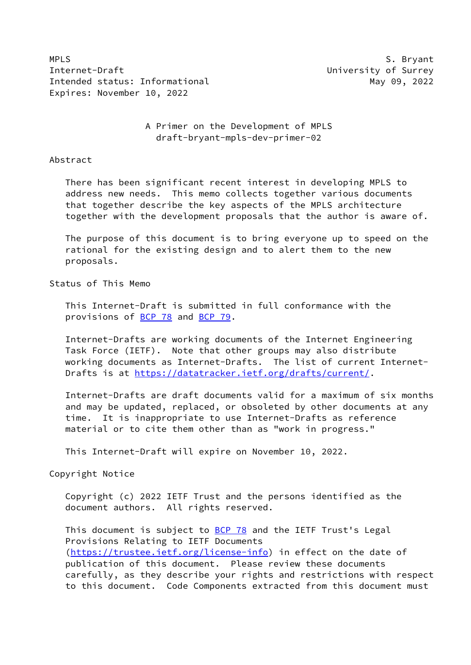MPLS S. Bryant Internet-Draft **Internet-Draft** and *Internet-*Intended status: Informational May 09, 2022 Expires: November 10, 2022

 A Primer on the Development of MPLS draft-bryant-mpls-dev-primer-02

Abstract

 There has been significant recent interest in developing MPLS to address new needs. This memo collects together various documents that together describe the key aspects of the MPLS architecture together with the development proposals that the author is aware of.

 The purpose of this document is to bring everyone up to speed on the rational for the existing design and to alert them to the new proposals.

Status of This Memo

 This Internet-Draft is submitted in full conformance with the provisions of **BCP 78** and **BCP 79**.

 Internet-Drafts are working documents of the Internet Engineering Task Force (IETF). Note that other groups may also distribute working documents as Internet-Drafts. The list of current Internet Drafts is at<https://datatracker.ietf.org/drafts/current/>.

 Internet-Drafts are draft documents valid for a maximum of six months and may be updated, replaced, or obsoleted by other documents at any time. It is inappropriate to use Internet-Drafts as reference material or to cite them other than as "work in progress."

This Internet-Draft will expire on November 10, 2022.

Copyright Notice

 Copyright (c) 2022 IETF Trust and the persons identified as the document authors. All rights reserved.

This document is subject to **[BCP 78](https://datatracker.ietf.org/doc/pdf/bcp78)** and the IETF Trust's Legal Provisions Relating to IETF Documents [\(https://trustee.ietf.org/license-info](https://trustee.ietf.org/license-info)) in effect on the date of publication of this document. Please review these documents carefully, as they describe your rights and restrictions with respect to this document. Code Components extracted from this document must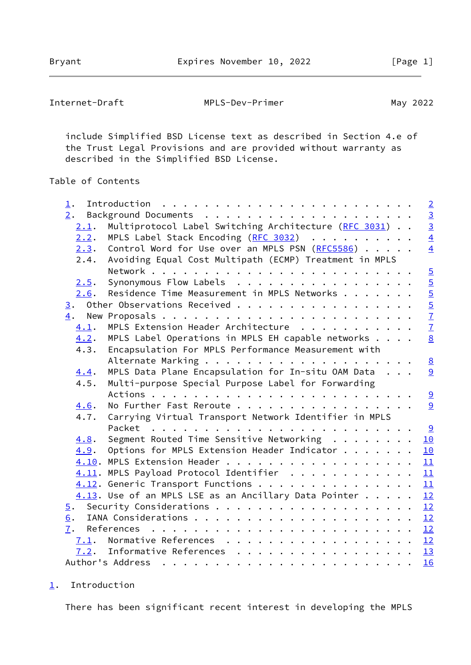<span id="page-1-1"></span>

| Internet-Draft | MPLS-Dev-Primer | May 2022 |
|----------------|-----------------|----------|
|----------------|-----------------|----------|

 include Simplified BSD License text as described in Section 4.e of the Trust Legal Provisions and are provided without warranty as described in the Simplified BSD License.

## Table of Contents

| $1$ .            |      | $\overline{2}$                                                    |
|------------------|------|-------------------------------------------------------------------|
| 2.               |      |                                                                   |
|                  | 2.1. | Multiprotocol Label Switching Architecture (RFC 3031)             |
|                  | 2.2. | $\frac{3}{4}$<br>MPLS Label Stack Encoding (RFC 3032)             |
|                  | 2.3. | $\overline{4}$<br>Control Word for Use over an MPLS PSN (RFC5586) |
|                  | 2.4. | Avoiding Equal Cost Multipath (ECMP) Treatment in MPLS            |
|                  |      |                                                                   |
|                  | 2.5. | $rac{5}{5}$<br>Synonymous Flow Labels                             |
|                  | 2.6. | Residence Time Measurement in MPLS Networks                       |
|                  |      | 3. Other Observations Received                                    |
|                  |      | $\frac{5}{7}$ $\frac{7}{7}$                                       |
|                  | 4.1. | MPLS Extension Header Architecture                                |
|                  | 4.2. | 8<br>MPLS Label Operations in MPLS EH capable networks            |
|                  | 4.3. | Encapsulation For MPLS Performance Measurement with               |
|                  |      | $\underline{8}$                                                   |
|                  | 4.4. | MPLS Data Plane Encapsulation for In-situ OAM Data<br>9           |
|                  | 4.5. | Multi-purpose Special Purpose Label for Forwarding                |
|                  |      | 9                                                                 |
|                  | 4.6. | No Further Fast Reroute<br>9                                      |
|                  | 4.7. | Carrying Virtual Transport Network Identifier in MPLS             |
|                  |      | <u>୍ର</u>                                                         |
|                  | 4.8. | Segment Routed Time Sensitive Networking<br>10                    |
|                  | 4.9. | Options for MPLS Extension Header Indicator<br>10                 |
|                  |      | 11                                                                |
|                  |      | 4.11. MPLS Payload Protocol Identifier<br>11                      |
|                  |      | 4.12. Generic Transport Functions<br>11                           |
|                  |      | $4.13$ . Use of an MPLS LSE as an Ancillary Data Pointer<br>12    |
| $\overline{5}$ . |      | 12                                                                |
| 6.               |      | 12                                                                |
| 7.               |      | 12                                                                |
|                  |      | 7.1. Normative References<br>12                                   |
|                  |      | 7.2. Informative References 13                                    |
|                  |      | 16                                                                |

## <span id="page-1-0"></span>[1](#page-1-0). Introduction

There has been significant recent interest in developing the MPLS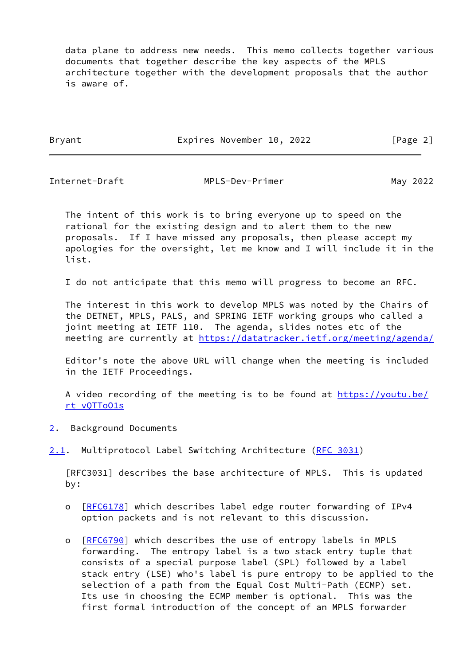data plane to address new needs. This memo collects together various documents that together describe the key aspects of the MPLS architecture together with the development proposals that the author is aware of.

Bryant Expires November 10, 2022 [Page 2]

<span id="page-2-1"></span>

Internet-Draft MPLS-Dev-Primer May 2022

 The intent of this work is to bring everyone up to speed on the rational for the existing design and to alert them to the new proposals. If I have missed any proposals, then please accept my apologies for the oversight, let me know and I will include it in the list.

I do not anticipate that this memo will progress to become an RFC.

 The interest in this work to develop MPLS was noted by the Chairs of the DETNET, MPLS, PALS, and SPRING IETF working groups who called a joint meeting at IETF 110. The agenda, slides notes etc of the meeting are currently at<https://datatracker.ietf.org/meeting/agenda/>

 Editor's note the above URL will change when the meeting is included in the IETF Proceedings.

A video recording of the meeting is to be found at [https://youtu.be/](https://youtu.be/rt_vQTToO1s) [rt\\_vQTToO1s](https://youtu.be/rt_vQTToO1s)

- <span id="page-2-0"></span>[2](#page-2-0). Background Documents
- <span id="page-2-2"></span>[2.1](#page-2-2). Multiprotocol Label Switching Architecture ([RFC 3031\)](https://datatracker.ietf.org/doc/pdf/rfc3031)

 [RFC3031] describes the base architecture of MPLS. This is updated by:

- o [[RFC6178\]](https://datatracker.ietf.org/doc/pdf/rfc6178) which describes label edge router forwarding of IPv4 option packets and is not relevant to this discussion.
- o [[RFC6790\]](https://datatracker.ietf.org/doc/pdf/rfc6790) which describes the use of entropy labels in MPLS forwarding. The entropy label is a two stack entry tuple that consists of a special purpose label (SPL) followed by a label stack entry (LSE) who's label is pure entropy to be applied to the selection of a path from the Equal Cost Multi-Path (ECMP) set. Its use in choosing the ECMP member is optional. This was the first formal introduction of the concept of an MPLS forwarder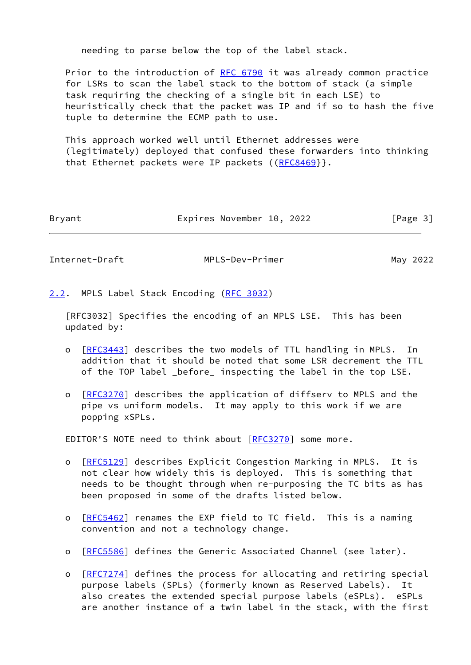needing to parse below the top of the label stack.

 Prior to the introduction of [RFC 6790](https://datatracker.ietf.org/doc/pdf/rfc6790) it was already common practice for LSRs to scan the label stack to the bottom of stack (a simple task requiring the checking of a single bit in each LSE) to heuristically check that the packet was IP and if so to hash the five tuple to determine the ECMP path to use.

 This approach worked well until Ethernet addresses were (legitimately) deployed that confused these forwarders into thinking that Ethernet packets were IP packets ([\(RFC8469](https://datatracker.ietf.org/doc/pdf/rfc8469)}}.

| Expires November 10, 2022<br>Bryant | [Page 3] |
|-------------------------------------|----------|
|-------------------------------------|----------|

<span id="page-3-1"></span>Internet-Draft MPLS-Dev-Primer May 2022

<span id="page-3-0"></span>[2.2](#page-3-0). MPLS Label Stack Encoding [\(RFC 3032](https://datatracker.ietf.org/doc/pdf/rfc3032))

 [RFC3032] Specifies the encoding of an MPLS LSE. This has been updated by:

- o [[RFC3443\]](https://datatracker.ietf.org/doc/pdf/rfc3443) describes the two models of TTL handling in MPLS. In addition that it should be noted that some LSR decrement the TTL of the TOP label \_before\_ inspecting the label in the top LSE.
- o [[RFC3270\]](https://datatracker.ietf.org/doc/pdf/rfc3270) describes the application of diffserv to MPLS and the pipe vs uniform models. It may apply to this work if we are popping xSPLs.

EDITOR'S NOTE need to think about [[RFC3270](https://datatracker.ietf.org/doc/pdf/rfc3270)] some more.

- o [[RFC5129\]](https://datatracker.ietf.org/doc/pdf/rfc5129) describes Explicit Congestion Marking in MPLS. It is not clear how widely this is deployed. This is something that needs to be thought through when re-purposing the TC bits as has been proposed in some of the drafts listed below.
- o [[RFC5462\]](https://datatracker.ietf.org/doc/pdf/rfc5462) renames the EXP field to TC field. This is a naming convention and not a technology change.
- o [[RFC5586\]](https://datatracker.ietf.org/doc/pdf/rfc5586) defines the Generic Associated Channel (see later).
- o [[RFC7274\]](https://datatracker.ietf.org/doc/pdf/rfc7274) defines the process for allocating and retiring special purpose labels (SPLs) (formerly known as Reserved Labels). It also creates the extended special purpose labels (eSPLs). eSPLs are another instance of a twin label in the stack, with the first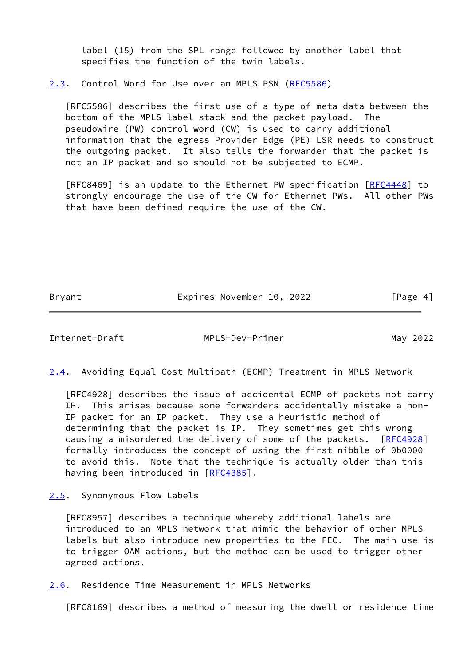label (15) from the SPL range followed by another label that specifies the function of the twin labels.

<span id="page-4-0"></span>[2.3](#page-4-0). Control Word for Use over an MPLS PSN [\(RFC5586](https://datatracker.ietf.org/doc/pdf/rfc5586))

 [RFC5586] describes the first use of a type of meta-data between the bottom of the MPLS label stack and the packet payload. The pseudowire (PW) control word (CW) is used to carry additional information that the egress Provider Edge (PE) LSR needs to construct the outgoing packet. It also tells the forwarder that the packet is not an IP packet and so should not be subjected to ECMP.

[RFC8469] is an update to the Ethernet PW specification [\[RFC4448](https://datatracker.ietf.org/doc/pdf/rfc4448)] to strongly encourage the use of the CW for Ethernet PWs. All other PWs that have been defined require the use of the CW.

Bryant Expires November 10, 2022 [Page 4]

<span id="page-4-1"></span>Internet-Draft MPLS-Dev-Primer May 2022

<span id="page-4-4"></span>[2.4](#page-4-4). Avoiding Equal Cost Multipath (ECMP) Treatment in MPLS Network

 [RFC4928] describes the issue of accidental ECMP of packets not carry IP. This arises because some forwarders accidentally mistake a non- IP packet for an IP packet. They use a heuristic method of determining that the packet is IP. They sometimes get this wrong causing a misordered the delivery of some of the packets. [[RFC4928\]](https://datatracker.ietf.org/doc/pdf/rfc4928) formally introduces the concept of using the first nibble of 0b0000 to avoid this. Note that the technique is actually older than this having been introduced in [[RFC4385](https://datatracker.ietf.org/doc/pdf/rfc4385)].

<span id="page-4-2"></span>[2.5](#page-4-2). Synonymous Flow Labels

 [RFC8957] describes a technique whereby additional labels are introduced to an MPLS network that mimic the behavior of other MPLS labels but also introduce new properties to the FEC. The main use is to trigger OAM actions, but the method can be used to trigger other agreed actions.

<span id="page-4-3"></span>[2.6](#page-4-3). Residence Time Measurement in MPLS Networks

[RFC8169] describes a method of measuring the dwell or residence time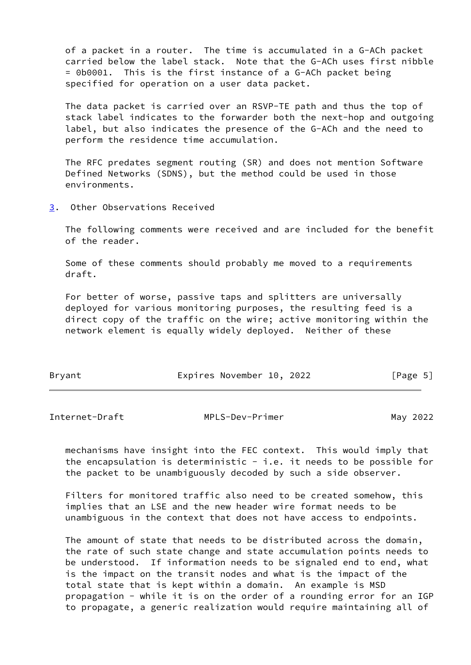of a packet in a router. The time is accumulated in a G-ACh packet carried below the label stack. Note that the G-ACh uses first nibble = 0b0001. This is the first instance of a G-ACh packet being specified for operation on a user data packet.

 The data packet is carried over an RSVP-TE path and thus the top of stack label indicates to the forwarder both the next-hop and outgoing label, but also indicates the presence of the G-ACh and the need to perform the residence time accumulation.

 The RFC predates segment routing (SR) and does not mention Software Defined Networks (SDNS), but the method could be used in those environments.

<span id="page-5-0"></span>[3](#page-5-0). Other Observations Received

 The following comments were received and are included for the benefit of the reader.

 Some of these comments should probably me moved to a requirements draft.

 For better of worse, passive taps and splitters are universally deployed for various monitoring purposes, the resulting feed is a direct copy of the traffic on the wire; active monitoring within the network element is equally widely deployed. Neither of these

| Bryant | Expires November 10, 2022 |  | [Page 5] |  |
|--------|---------------------------|--|----------|--|
|        |                           |  |          |  |

Internet-Draft MPLS-Dev-Primer May 2022

 mechanisms have insight into the FEC context. This would imply that the encapsulation is deterministic  $-$  i.e. it needs to be possible for the packet to be unambiguously decoded by such a side observer.

 Filters for monitored traffic also need to be created somehow, this implies that an LSE and the new header wire format needs to be unambiguous in the context that does not have access to endpoints.

The amount of state that needs to be distributed across the domain, the rate of such state change and state accumulation points needs to be understood. If information needs to be signaled end to end, what is the impact on the transit nodes and what is the impact of the total state that is kept within a domain. An example is MSD propagation - while it is on the order of a rounding error for an IGP to propagate, a generic realization would require maintaining all of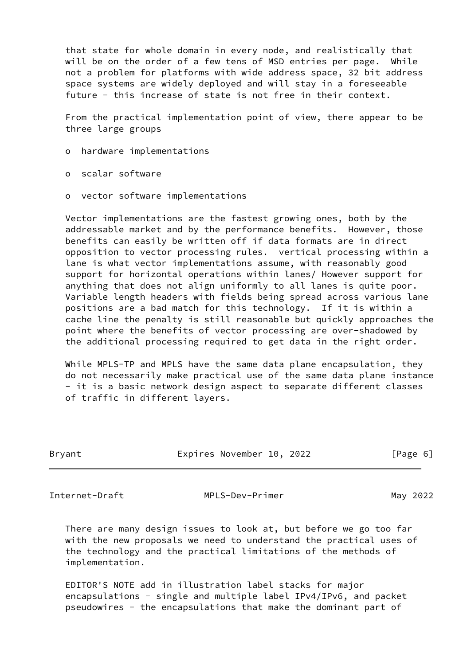that state for whole domain in every node, and realistically that will be on the order of a few tens of MSD entries per page. While not a problem for platforms with wide address space, 32 bit address space systems are widely deployed and will stay in a foreseeable future - this increase of state is not free in their context.

 From the practical implementation point of view, there appear to be three large groups

- o hardware implementations
- o scalar software
- o vector software implementations

 Vector implementations are the fastest growing ones, both by the addressable market and by the performance benefits. However, those benefits can easily be written off if data formats are in direct opposition to vector processing rules. vertical processing within a lane is what vector implementations assume, with reasonably good support for horizontal operations within lanes/ However support for anything that does not align uniformly to all lanes is quite poor. Variable length headers with fields being spread across various lane positions are a bad match for this technology. If it is within a cache line the penalty is still reasonable but quickly approaches the point where the benefits of vector processing are over-shadowed by the additional processing required to get data in the right order.

 While MPLS-TP and MPLS have the same data plane encapsulation, they do not necessarily make practical use of the same data plane instance - it is a basic network design aspect to separate different classes of traffic in different layers.

| Bryant |  | Expires November 10, 2022 |  |  | [Page 6] |  |
|--------|--|---------------------------|--|--|----------|--|
|--------|--|---------------------------|--|--|----------|--|

<span id="page-6-0"></span>Internet-Draft MPLS-Dev-Primer May 2022

 There are many design issues to look at, but before we go too far with the new proposals we need to understand the practical uses of the technology and the practical limitations of the methods of implementation.

 EDITOR'S NOTE add in illustration label stacks for major encapsulations - single and multiple label IPv4/IPv6, and packet pseudowires - the encapsulations that make the dominant part of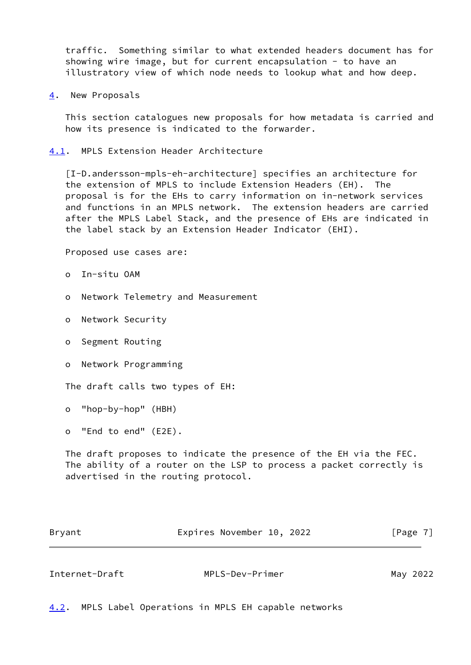traffic. Something similar to what extended headers document has for showing wire image, but for current encapsulation - to have an illustratory view of which node needs to lookup what and how deep.

<span id="page-7-0"></span>[4](#page-7-0). New Proposals

 This section catalogues new proposals for how metadata is carried and how its presence is indicated to the forwarder.

<span id="page-7-1"></span>[4.1](#page-7-1). MPLS Extension Header Architecture

 [I-D.andersson-mpls-eh-architecture] specifies an architecture for the extension of MPLS to include Extension Headers (EH). The proposal is for the EHs to carry information on in-network services and functions in an MPLS network. The extension headers are carried after the MPLS Label Stack, and the presence of EHs are indicated in the label stack by an Extension Header Indicator (EHI).

Proposed use cases are:

- o In-situ OAM
- o Network Telemetry and Measurement
- o Network Security
- o Segment Routing
- o Network Programming

The draft calls two types of EH:

o "hop-by-hop" (HBH)

o "End to end" (E2E).

 The draft proposes to indicate the presence of the EH via the FEC. The ability of a router on the LSP to process a packet correctly is advertised in the routing protocol.

| Bryant | Expires November 10, 2022 |  | [Page 7] |
|--------|---------------------------|--|----------|
|        |                           |  |          |

<span id="page-7-3"></span>

| Internet-Draft | MPLS-Dev-Primer | May 2022 |
|----------------|-----------------|----------|
|                |                 |          |

<span id="page-7-2"></span>[4.2](#page-7-2). MPLS Label Operations in MPLS EH capable networks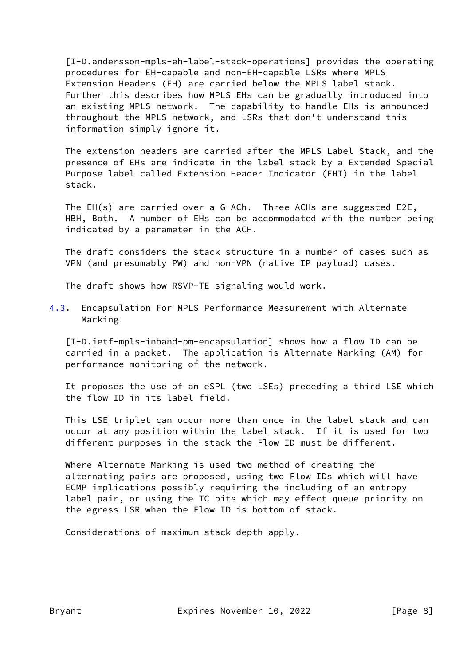[I-D.andersson-mpls-eh-label-stack-operations] provides the operating procedures for EH-capable and non-EH-capable LSRs where MPLS Extension Headers (EH) are carried below the MPLS label stack. Further this describes how MPLS EHs can be gradually introduced into an existing MPLS network. The capability to handle EHs is announced throughout the MPLS network, and LSRs that don't understand this information simply ignore it.

 The extension headers are carried after the MPLS Label Stack, and the presence of EHs are indicate in the label stack by a Extended Special Purpose label called Extension Header Indicator (EHI) in the label stack.

 The EH(s) are carried over a G-ACh. Three ACHs are suggested E2E, HBH, Both. A number of EHs can be accommodated with the number being indicated by a parameter in the ACH.

 The draft considers the stack structure in a number of cases such as VPN (and presumably PW) and non-VPN (native IP payload) cases.

The draft shows how RSVP-TE signaling would work.

<span id="page-8-0"></span>[4.3](#page-8-0). Encapsulation For MPLS Performance Measurement with Alternate Marking

 [I-D.ietf-mpls-inband-pm-encapsulation] shows how a flow ID can be carried in a packet. The application is Alternate Marking (AM) for performance monitoring of the network.

 It proposes the use of an eSPL (two LSEs) preceding a third LSE which the flow ID in its label field.

 This LSE triplet can occur more than once in the label stack and can occur at any position within the label stack. If it is used for two different purposes in the stack the Flow ID must be different.

 Where Alternate Marking is used two method of creating the alternating pairs are proposed, using two Flow IDs which will have ECMP implications possibly requiring the including of an entropy label pair, or using the TC bits which may effect queue priority on the egress LSR when the Flow ID is bottom of stack.

Considerations of maximum stack depth apply.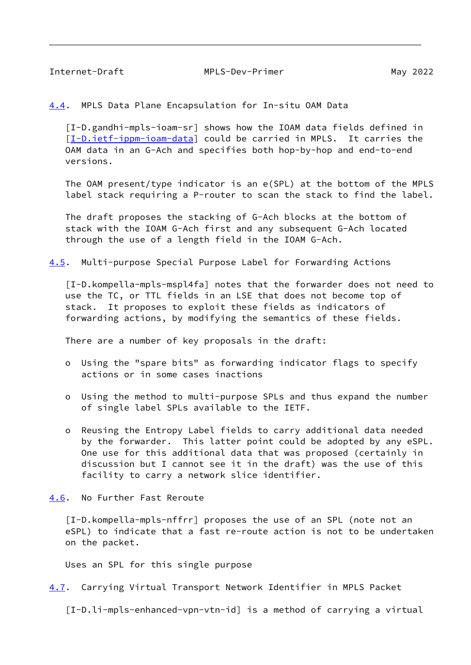<span id="page-9-1"></span>Internet-Draft MPLS-Dev-Primer May 2022

<span id="page-9-0"></span>[4.4](#page-9-0). MPLS Data Plane Encapsulation for In-situ OAM Data

 [I-D.gandhi-mpls-ioam-sr] shows how the IOAM data fields defined in [\[I-D.ietf-ippm-ioam-data](#page-14-0)] could be carried in MPLS. It carries the OAM data in an G-Ach and specifies both hop-by-hop and end-to-end versions.

 The OAM present/type indicator is an e(SPL) at the bottom of the MPLS label stack requiring a P-router to scan the stack to find the label.

 The draft proposes the stacking of G-Ach blocks at the bottom of stack with the IOAM G-Ach first and any subsequent G-Ach located through the use of a length field in the IOAM G-Ach.

<span id="page-9-3"></span>[4.5](#page-9-3). Multi-purpose Special Purpose Label for Forwarding Actions

 [I-D.kompella-mpls-mspl4fa] notes that the forwarder does not need to use the TC, or TTL fields in an LSE that does not become top of stack. It proposes to exploit these fields as indicators of forwarding actions, by modifying the semantics of these fields.

There are a number of key proposals in the draft:

- o Using the "spare bits" as forwarding indicator flags to specify actions or in some cases inactions
- o Using the method to multi-purpose SPLs and thus expand the number of single label SPLs available to the IETF.
- o Reusing the Entropy Label fields to carry additional data needed by the forwarder. This latter point could be adopted by any eSPL. One use for this additional data that was proposed (certainly in discussion but I cannot see it in the draft) was the use of this facility to carry a network slice identifier.
- <span id="page-9-2"></span>[4.6](#page-9-2). No Further Fast Reroute

 [I-D.kompella-mpls-nffrr] proposes the use of an SPL (note not an eSPL) to indicate that a fast re-route action is not to be undertaken on the packet.

Uses an SPL for this single purpose

<span id="page-9-4"></span>[4.7](#page-9-4). Carrying Virtual Transport Network Identifier in MPLS Packet

[I-D.li-mpls-enhanced-vpn-vtn-id] is a method of carrying a virtual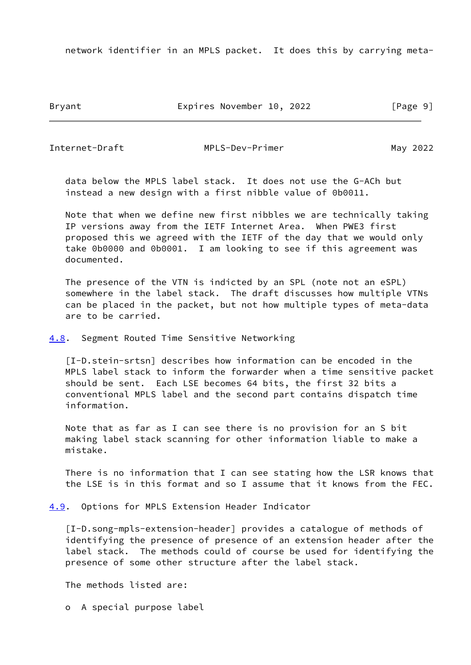network identifier in an MPLS packet. It does this by carrying meta-

Bryant Expires November 10, 2022 [Page 9]

<span id="page-10-1"></span>Internet-Draft MPLS-Dev-Primer May 2022

 data below the MPLS label stack. It does not use the G-ACh but instead a new design with a first nibble value of 0b0011.

 Note that when we define new first nibbles we are technically taking IP versions away from the IETF Internet Area. When PWE3 first proposed this we agreed with the IETF of the day that we would only take 0b0000 and 0b0001. I am looking to see if this agreement was documented.

 The presence of the VTN is indicted by an SPL (note not an eSPL) somewhere in the label stack. The draft discusses how multiple VTNs can be placed in the packet, but not how multiple types of meta-data are to be carried.

<span id="page-10-0"></span>[4.8](#page-10-0). Segment Routed Time Sensitive Networking

 [I-D.stein-srtsn] describes how information can be encoded in the MPLS label stack to inform the forwarder when a time sensitive packet should be sent. Each LSE becomes 64 bits, the first 32 bits a conventional MPLS label and the second part contains dispatch time information.

 Note that as far as I can see there is no provision for an S bit making label stack scanning for other information liable to make a mistake.

 There is no information that I can see stating how the LSR knows that the LSE is in this format and so I assume that it knows from the FEC.

<span id="page-10-2"></span>[4.9](#page-10-2). Options for MPLS Extension Header Indicator

 [I-D.song-mpls-extension-header] provides a catalogue of methods of identifying the presence of presence of an extension header after the label stack. The methods could of course be used for identifying the presence of some other structure after the label stack.

The methods listed are:

o A special purpose label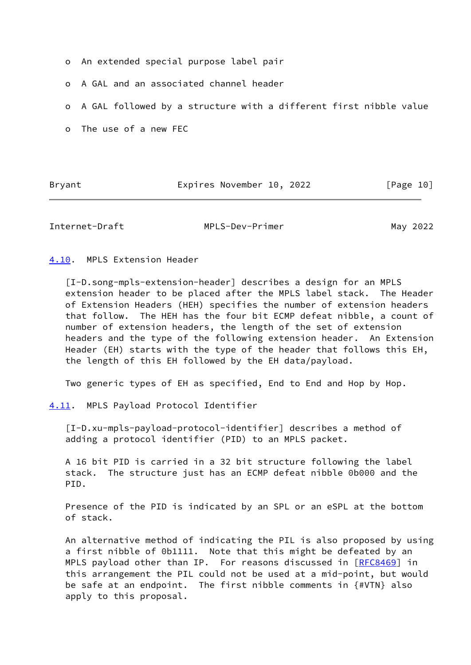- o An extended special purpose label pair
- o A GAL and an associated channel header
- o A GAL followed by a structure with a different first nibble value
- o The use of a new FEC

Bryant Expires November 10, 2022 [Page 10]

<span id="page-11-1"></span>Internet-Draft MPLS-Dev-Primer May 2022

<span id="page-11-0"></span>[4.10](#page-11-0). MPLS Extension Header

 [I-D.song-mpls-extension-header] describes a design for an MPLS extension header to be placed after the MPLS label stack. The Header of Extension Headers (HEH) specifies the number of extension headers that follow. The HEH has the four bit ECMP defeat nibble, a count of number of extension headers, the length of the set of extension headers and the type of the following extension header. An Extension Header (EH) starts with the type of the header that follows this EH, the length of this EH followed by the EH data/payload.

Two generic types of EH as specified, End to End and Hop by Hop.

<span id="page-11-2"></span>[4.11](#page-11-2). MPLS Payload Protocol Identifier

 [I-D.xu-mpls-payload-protocol-identifier] describes a method of adding a protocol identifier (PID) to an MPLS packet.

 A 16 bit PID is carried in a 32 bit structure following the label stack. The structure just has an ECMP defeat nibble 0b000 and the PID.

 Presence of the PID is indicated by an SPL or an eSPL at the bottom of stack.

 An alternative method of indicating the PIL is also proposed by using a first nibble of 0b1111. Note that this might be defeated by an MPLS payload other than IP. For reasons discussed in [[RFC8469](https://datatracker.ietf.org/doc/pdf/rfc8469)] in this arrangement the PIL could not be used at a mid-point, but would be safe at an endpoint. The first nibble comments in {#VTN} also apply to this proposal.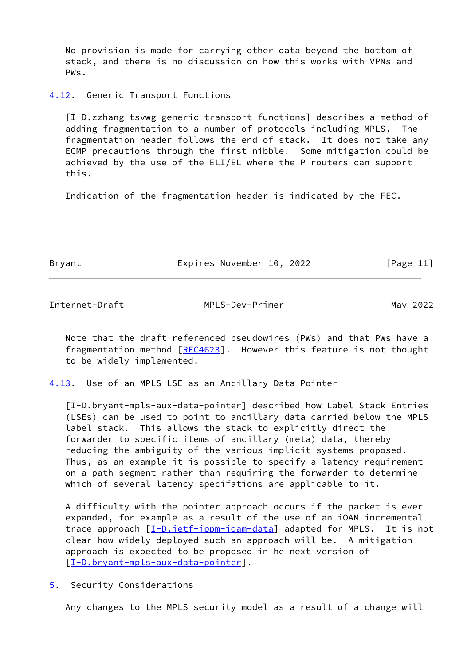No provision is made for carrying other data beyond the bottom of stack, and there is no discussion on how this works with VPNs and PWs.

## <span id="page-12-0"></span>[4.12](#page-12-0). Generic Transport Functions

 [I-D.zzhang-tsvwg-generic-transport-functions] describes a method of adding fragmentation to a number of protocols including MPLS. The fragmentation header follows the end of stack. It does not take any ECMP precautions through the first nibble. Some mitigation could be achieved by the use of the ELI/EL where the P routers can support this.

Indication of the fragmentation header is indicated by the FEC.

Bryant Expires November 10, 2022 [Page 11]

<span id="page-12-2"></span>Internet-Draft MPLS-Dev-Primer May 2022

 Note that the draft referenced pseudowires (PWs) and that PWs have a fragmentation method [\[RFC4623](https://datatracker.ietf.org/doc/pdf/rfc4623)]. However this feature is not thought to be widely implemented.

<span id="page-12-1"></span>[4.13](#page-12-1). Use of an MPLS LSE as an Ancillary Data Pointer

<span id="page-12-4"></span> [I-D.bryant-mpls-aux-data-pointer] described how Label Stack Entries (LSEs) can be used to point to ancillary data carried below the MPLS label stack. This allows the stack to explicitly direct the forwarder to specific items of ancillary (meta) data, thereby reducing the ambiguity of the various implicit systems proposed. Thus, as an example it is possible to specify a latency requirement on a path segment rather than requiring the forwarder to determine which of several latency specifations are applicable to it.

 A difficulty with the pointer approach occurs if the packet is ever expanded, for example as a result of the use of an iOAM incremental trace approach [\[I-D.ietf-ippm-ioam-data](#page-14-0)] adapted for MPLS. It is not clear how widely deployed such an approach will be. A mitigation approach is expected to be proposed in he next version of [\[I-D.bryant-mpls-aux-data-pointer](#page-12-4)].

<span id="page-12-3"></span>[5](#page-12-3). Security Considerations

Any changes to the MPLS security model as a result of a change will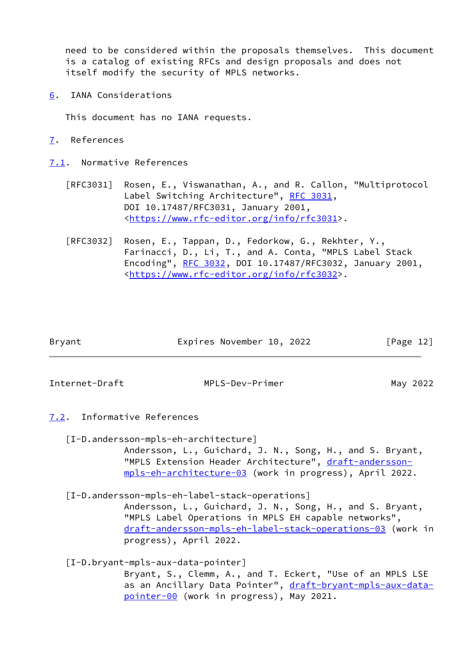need to be considered within the proposals themselves. This document is a catalog of existing RFCs and design proposals and does not itself modify the security of MPLS networks.

<span id="page-13-0"></span>[6](#page-13-0). IANA Considerations

This document has no IANA requests.

<span id="page-13-1"></span>[7](#page-13-1). References

<span id="page-13-2"></span>[7.1](#page-13-2). Normative References

- [RFC3031] Rosen, E., Viswanathan, A., and R. Callon, "Multiprotocol Label Switching Architecture", [RFC 3031](https://datatracker.ietf.org/doc/pdf/rfc3031), DOI 10.17487/RFC3031, January 2001, <[https://www.rfc-editor.org/info/rfc3031>](https://www.rfc-editor.org/info/rfc3031).
- [RFC3032] Rosen, E., Tappan, D., Fedorkow, G., Rekhter, Y., Farinacci, D., Li, T., and A. Conta, "MPLS Label Stack Encoding", [RFC 3032](https://datatracker.ietf.org/doc/pdf/rfc3032), DOI 10.17487/RFC3032, January 2001, <[https://www.rfc-editor.org/info/rfc3032>](https://www.rfc-editor.org/info/rfc3032).

| Bryant | Expires November 10, 2022 |  | [Page 12] |
|--------|---------------------------|--|-----------|
|        |                           |  |           |

<span id="page-13-4"></span>

Internet-Draft MPLS-Dev-Primer May 2022

## <span id="page-13-3"></span>[7.2](#page-13-3). Informative References

[I-D.andersson-mpls-eh-architecture]

 Andersson, L., Guichard, J. N., Song, H., and S. Bryant, "MPLS Extension Header Architecture", [draft-andersson](https://datatracker.ietf.org/doc/pdf/draft-andersson-mpls-eh-architecture-03) [mpls-eh-architecture-03](https://datatracker.ietf.org/doc/pdf/draft-andersson-mpls-eh-architecture-03) (work in progress), April 2022.

[I-D.andersson-mpls-eh-label-stack-operations]

 Andersson, L., Guichard, J. N., Song, H., and S. Bryant, "MPLS Label Operations in MPLS EH capable networks", [draft-andersson-mpls-eh-label-stack-operations-03](https://datatracker.ietf.org/doc/pdf/draft-andersson-mpls-eh-label-stack-operations-03) (work in progress), April 2022.

[I-D.bryant-mpls-aux-data-pointer]

 Bryant, S., Clemm, A., and T. Eckert, "Use of an MPLS LSE as an Ancillary Data Pointer", [draft-bryant-mpls-aux-data](https://datatracker.ietf.org/doc/pdf/draft-bryant-mpls-aux-data-pointer-00) [pointer-00](https://datatracker.ietf.org/doc/pdf/draft-bryant-mpls-aux-data-pointer-00) (work in progress), May 2021.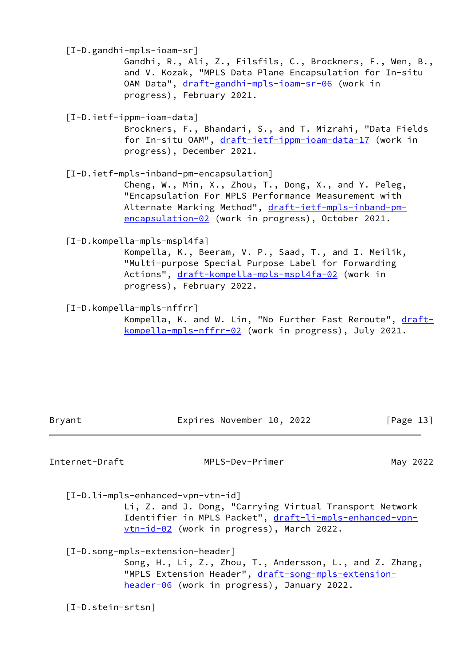<span id="page-14-0"></span> [I-D.gandhi-mpls-ioam-sr] Gandhi, R., Ali, Z., Filsfils, C., Brockners, F., Wen, B., and V. Kozak, "MPLS Data Plane Encapsulation for In-situ OAM Data", [draft-gandhi-mpls-ioam-sr-06](https://datatracker.ietf.org/doc/pdf/draft-gandhi-mpls-ioam-sr-06) (work in progress), February 2021. [I-D.ietf-ippm-ioam-data] Brockners, F., Bhandari, S., and T. Mizrahi, "Data Fields for In-situ OAM", [draft-ietf-ippm-ioam-data-17](https://datatracker.ietf.org/doc/pdf/draft-ietf-ippm-ioam-data-17) (work in progress), December 2021. [I-D.ietf-mpls-inband-pm-encapsulation] Cheng, W., Min, X., Zhou, T., Dong, X., and Y. Peleg, "Encapsulation For MPLS Performance Measurement with Alternate Marking Method", [draft-ietf-mpls-inband-pm](https://datatracker.ietf.org/doc/pdf/draft-ietf-mpls-inband-pm-encapsulation-02) [encapsulation-02](https://datatracker.ietf.org/doc/pdf/draft-ietf-mpls-inband-pm-encapsulation-02) (work in progress), October 2021. [I-D.kompella-mpls-mspl4fa] Kompella, K., Beeram, V. P., Saad, T., and I. Meilik, "Multi-purpose Special Purpose Label for Forwarding Actions", [draft-kompella-mpls-mspl4fa-02](https://datatracker.ietf.org/doc/pdf/draft-kompella-mpls-mspl4fa-02) (work in progress), February 2022.

[I-D.kompella-mpls-nffrr]

Kompella, K. and W. Lin, "No Further Fast Reroute", [draft](https://datatracker.ietf.org/doc/pdf/draft-kompella-mpls-nffrr-02) [kompella-mpls-nffrr-02](https://datatracker.ietf.org/doc/pdf/draft-kompella-mpls-nffrr-02) (work in progress), July 2021.

Bryant Expires November 10, 2022 [Page 13]

Internet-Draft MPLS-Dev-Primer May 2022

 [I-D.li-mpls-enhanced-vpn-vtn-id] Li, Z. and J. Dong, "Carrying Virtual Transport Network Identifier in MPLS Packet", [draft-li-mpls-enhanced-vpn-](https://datatracker.ietf.org/doc/pdf/draft-li-mpls-enhanced-vpn-vtn-id-02) <u>vtn-id-02</u> (work in progress), March 2022.

 [I-D.song-mpls-extension-header] Song, H., Li, Z., Zhou, T., Andersson, L., and Z. Zhang, "MPLS Extension Header", [draft-song-mpls-extension](https://datatracker.ietf.org/doc/pdf/draft-song-mpls-extension-header-06) [header-06](https://datatracker.ietf.org/doc/pdf/draft-song-mpls-extension-header-06) (work in progress), January 2022.

[I-D.stein-srtsn]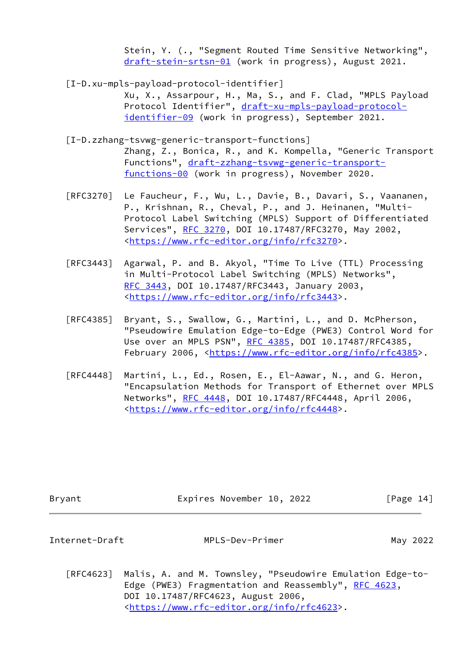Stein, Y. (., "Segment Routed Time Sensitive Networking", [draft-stein-srtsn-01](https://datatracker.ietf.org/doc/pdf/draft-stein-srtsn-01) (work in progress), August 2021.

[I-D.xu-mpls-payload-protocol-identifier]

 Xu, X., Assarpour, H., Ma, S., and F. Clad, "MPLS Payload Protocol Identifier", [draft-xu-mpls-payload-protocol](https://datatracker.ietf.org/doc/pdf/draft-xu-mpls-payload-protocol-identifier-09) [identifier-09](https://datatracker.ietf.org/doc/pdf/draft-xu-mpls-payload-protocol-identifier-09) (work in progress), September 2021.

- [I-D.zzhang-tsvwg-generic-transport-functions] Zhang, Z., Bonica, R., and K. Kompella, "Generic Transport Functions", [draft-zzhang-tsvwg-generic-transport](https://datatracker.ietf.org/doc/pdf/draft-zzhang-tsvwg-generic-transport-functions-00) [functions-00](https://datatracker.ietf.org/doc/pdf/draft-zzhang-tsvwg-generic-transport-functions-00) (work in progress), November 2020.
- [RFC3270] Le Faucheur, F., Wu, L., Davie, B., Davari, S., Vaananen, P., Krishnan, R., Cheval, P., and J. Heinanen, "Multi- Protocol Label Switching (MPLS) Support of Differentiated Services", [RFC 3270](https://datatracker.ietf.org/doc/pdf/rfc3270), DOI 10.17487/RFC3270, May 2002, <[https://www.rfc-editor.org/info/rfc3270>](https://www.rfc-editor.org/info/rfc3270).
- [RFC3443] Agarwal, P. and B. Akyol, "Time To Live (TTL) Processing in Multi-Protocol Label Switching (MPLS) Networks", [RFC 3443,](https://datatracker.ietf.org/doc/pdf/rfc3443) DOI 10.17487/RFC3443, January 2003, <[https://www.rfc-editor.org/info/rfc3443>](https://www.rfc-editor.org/info/rfc3443).
- [RFC4385] Bryant, S., Swallow, G., Martini, L., and D. McPherson, "Pseudowire Emulation Edge-to-Edge (PWE3) Control Word for Use over an MPLS PSN", [RFC 4385](https://datatracker.ietf.org/doc/pdf/rfc4385), DOI 10.17487/RFC4385, February 2006, <<https://www.rfc-editor.org/info/rfc4385>>.
- [RFC4448] Martini, L., Ed., Rosen, E., El-Aawar, N., and G. Heron, "Encapsulation Methods for Transport of Ethernet over MPLS Networks", [RFC 4448](https://datatracker.ietf.org/doc/pdf/rfc4448), DOI 10.17487/RFC4448, April 2006, <[https://www.rfc-editor.org/info/rfc4448>](https://www.rfc-editor.org/info/rfc4448).

| Bryant         | Expires November 10, 2022                                                                                         | [Page 14] |
|----------------|-------------------------------------------------------------------------------------------------------------------|-----------|
| Internet-Draft | MPLS-Dev-Primer                                                                                                   | May 2022  |
| RFC4623        | Malis, A. and M. Townsley, "Pseudowire Emulation Edge-to-<br>Edge (PWE3) Fragmentation and Reassembly", RFC 4623, |           |

 DOI 10.17487/RFC4623, August 2006, <[https://www.rfc-editor.org/info/rfc4623>](https://www.rfc-editor.org/info/rfc4623).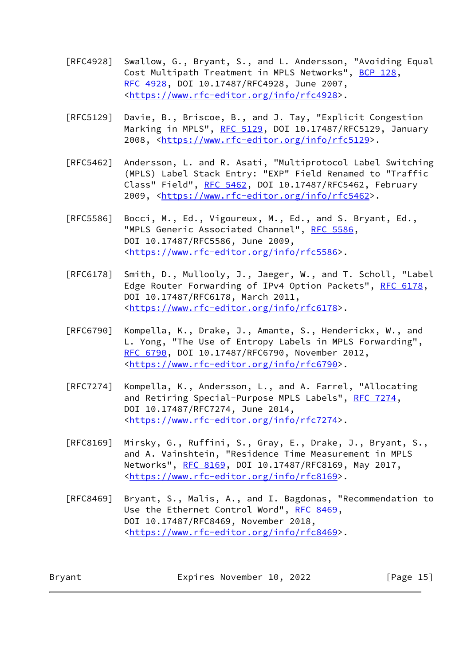- [RFC4928] Swallow, G., Bryant, S., and L. Andersson, "Avoiding Equal Cost Multipath Treatment in MPLS Networks", [BCP 128](https://datatracker.ietf.org/doc/pdf/bcp128), [RFC 4928,](https://datatracker.ietf.org/doc/pdf/rfc4928) DOI 10.17487/RFC4928, June 2007, <[https://www.rfc-editor.org/info/rfc4928>](https://www.rfc-editor.org/info/rfc4928).
- [RFC5129] Davie, B., Briscoe, B., and J. Tay, "Explicit Congestion Marking in MPLS", [RFC 5129](https://datatracker.ietf.org/doc/pdf/rfc5129), DOI 10.17487/RFC5129, January 2008, [<https://www.rfc-editor.org/info/rfc5129](https://www.rfc-editor.org/info/rfc5129)>.
- [RFC5462] Andersson, L. and R. Asati, "Multiprotocol Label Switching (MPLS) Label Stack Entry: "EXP" Field Renamed to "Traffic Class" Field", [RFC 5462](https://datatracker.ietf.org/doc/pdf/rfc5462), DOI 10.17487/RFC5462, February 2009, [<https://www.rfc-editor.org/info/rfc5462](https://www.rfc-editor.org/info/rfc5462)>.
- [RFC5586] Bocci, M., Ed., Vigoureux, M., Ed., and S. Bryant, Ed., "MPLS Generic Associated Channel", [RFC 5586](https://datatracker.ietf.org/doc/pdf/rfc5586), DOI 10.17487/RFC5586, June 2009, <[https://www.rfc-editor.org/info/rfc5586>](https://www.rfc-editor.org/info/rfc5586).
- [RFC6178] Smith, D., Mullooly, J., Jaeger, W., and T. Scholl, "Label Edge Router Forwarding of IPv4 Option Packets", [RFC 6178,](https://datatracker.ietf.org/doc/pdf/rfc6178) DOI 10.17487/RFC6178, March 2011, <[https://www.rfc-editor.org/info/rfc6178>](https://www.rfc-editor.org/info/rfc6178).
- [RFC6790] Kompella, K., Drake, J., Amante, S., Henderickx, W., and L. Yong, "The Use of Entropy Labels in MPLS Forwarding", [RFC 6790,](https://datatracker.ietf.org/doc/pdf/rfc6790) DOI 10.17487/RFC6790, November 2012, <[https://www.rfc-editor.org/info/rfc6790>](https://www.rfc-editor.org/info/rfc6790).
- [RFC7274] Kompella, K., Andersson, L., and A. Farrel, "Allocating and Retiring Special-Purpose MPLS Labels", [RFC 7274](https://datatracker.ietf.org/doc/pdf/rfc7274), DOI 10.17487/RFC7274, June 2014, <[https://www.rfc-editor.org/info/rfc7274>](https://www.rfc-editor.org/info/rfc7274).
- [RFC8169] Mirsky, G., Ruffini, S., Gray, E., Drake, J., Bryant, S., and A. Vainshtein, "Residence Time Measurement in MPLS Networks", [RFC 8169](https://datatracker.ietf.org/doc/pdf/rfc8169), DOI 10.17487/RFC8169, May 2017, <[https://www.rfc-editor.org/info/rfc8169>](https://www.rfc-editor.org/info/rfc8169).
- [RFC8469] Bryant, S., Malis, A., and I. Bagdonas, "Recommendation to Use the Ethernet Control Word", [RFC 8469,](https://datatracker.ietf.org/doc/pdf/rfc8469) DOI 10.17487/RFC8469, November 2018, <[https://www.rfc-editor.org/info/rfc8469>](https://www.rfc-editor.org/info/rfc8469).

Bryant Expires November 10, 2022 [Page 15]